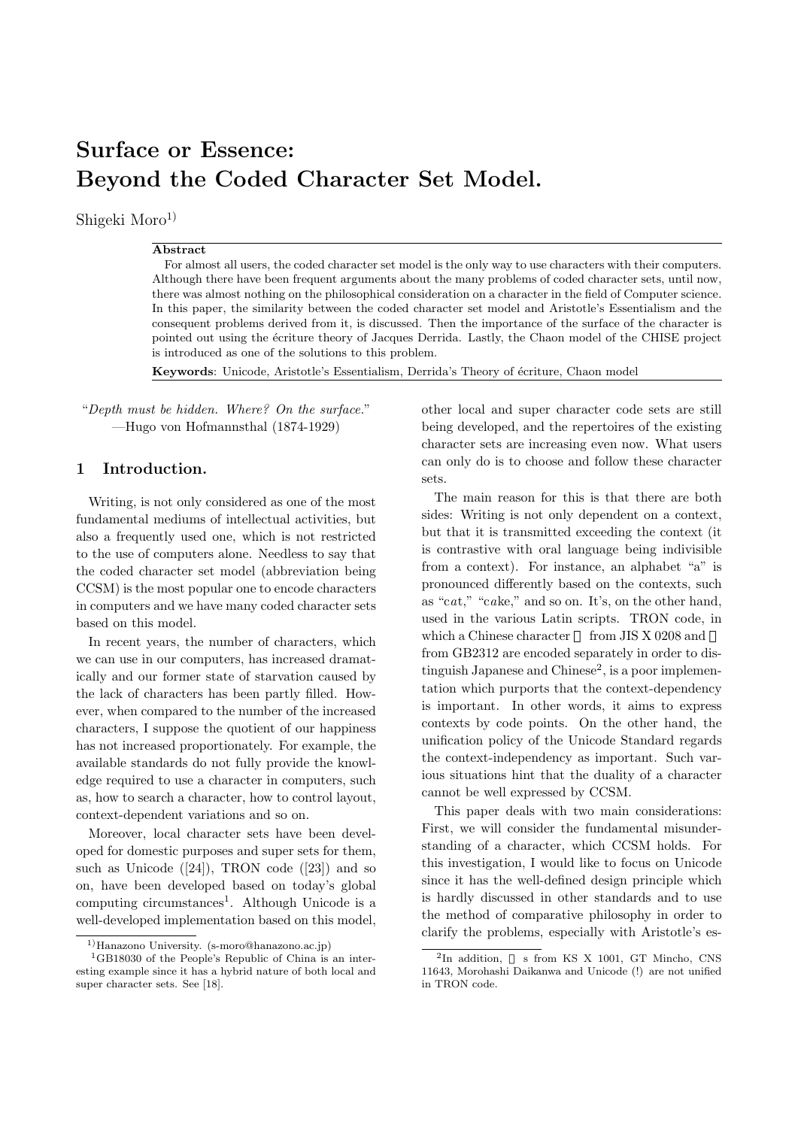# Surface or Essence: Beyond the Coded Character Set Model.

Shigeki  $Moro<sup>1</sup>$ 

#### Abstract

For almost all users, the coded character set model is the only way to use characters with their computers. Although there have been frequent arguments about the many problems of coded character sets, until now, there was almost nothing on the philosophical consideration on a character in the field of Computer science. In this paper, the similarity between the coded character set model and Aristotle's Essentialism and the consequent problems derived from it, is discussed. Then the importance of the surface of the character is pointed out using the écriture theory of Jacques Derrida. Lastly, the Chaon model of the CHISE project is introduced as one of the solutions to this problem.

Keywords: Unicode, Aristotle's Essentialism, Derrida's Theory of écriture, Chaon model

"Depth must be hidden. Where? On the surface." —Hugo von Hofmannsthal (1874-1929)

# 1 Introduction.

Writing, is not only considered as one of the most fundamental mediums of intellectual activities, but also a frequently used one, which is not restricted to the use of computers alone. Needless to say that the coded character set model (abbreviation being CCSM) is the most popular one to encode characters in computers and we have many coded character sets based on this model.

In recent years, the number of characters, which we can use in our computers, has increased dramatically and our former state of starvation caused by the lack of characters has been partly filled. However, when compared to the number of the increased characters, I suppose the quotient of our happiness has not increased proportionately. For example, the available standards do not fully provide the knowledge required to use a character in computers, such as, how to search a character, how to control layout, context-dependent variations and so on.

Moreover, local character sets have been developed for domestic purposes and super sets for them, such as Unicode  $([24])$ , TRON code  $([23])$  and so on, have been developed based on today's global computing circumstances<sup>1</sup>. Although Unicode is a well-developed implementation based on this model, other local and super character code sets are still being developed, and the repertoires of the existing character sets are increasing even now. What users can only do is to choose and follow these character sets.

The main reason for this is that there are both sides: Writing is not only dependent on a context, but that it is transmitted exceeding the context (it is contrastive with oral language being indivisible from a context). For instance, an alphabet "a" is pronounced differently based on the contexts, such as "cat," "cake," and so on. It's, on the other hand, used in the various Latin scripts. TRON code, in which a Chinese character from JIS X 0208 and from GB2312 are encoded separately in order to distinguish Japanese and Chinese<sup>2</sup>, is a poor implementation which purports that the context-dependency is important. In other words, it aims to express contexts by code points. On the other hand, the unification policy of the Unicode Standard regards the context-independency as important. Such various situations hint that the duality of a character cannot be well expressed by CCSM.

This paper deals with two main considerations: First, we will consider the fundamental misunderstanding of a character, which CCSM holds. For this investigation, I would like to focus on Unicode since it has the well-defined design principle which is hardly discussed in other standards and to use the method of comparative philosophy in order to clarify the problems, especially with Aristotle's es-

<sup>1)</sup>Hanazono University. (s-moro@hanazono.ac.jp)

<sup>1</sup>GB18030 of the People's Republic of China is an interesting example since it has a hybrid nature of both local and super character sets. See [18].

 $2$ In addition, s from KS X 1001, GT Mincho, CNS 11643, Morohashi Daikanwa and Unicode (!) are not unified in TRON code.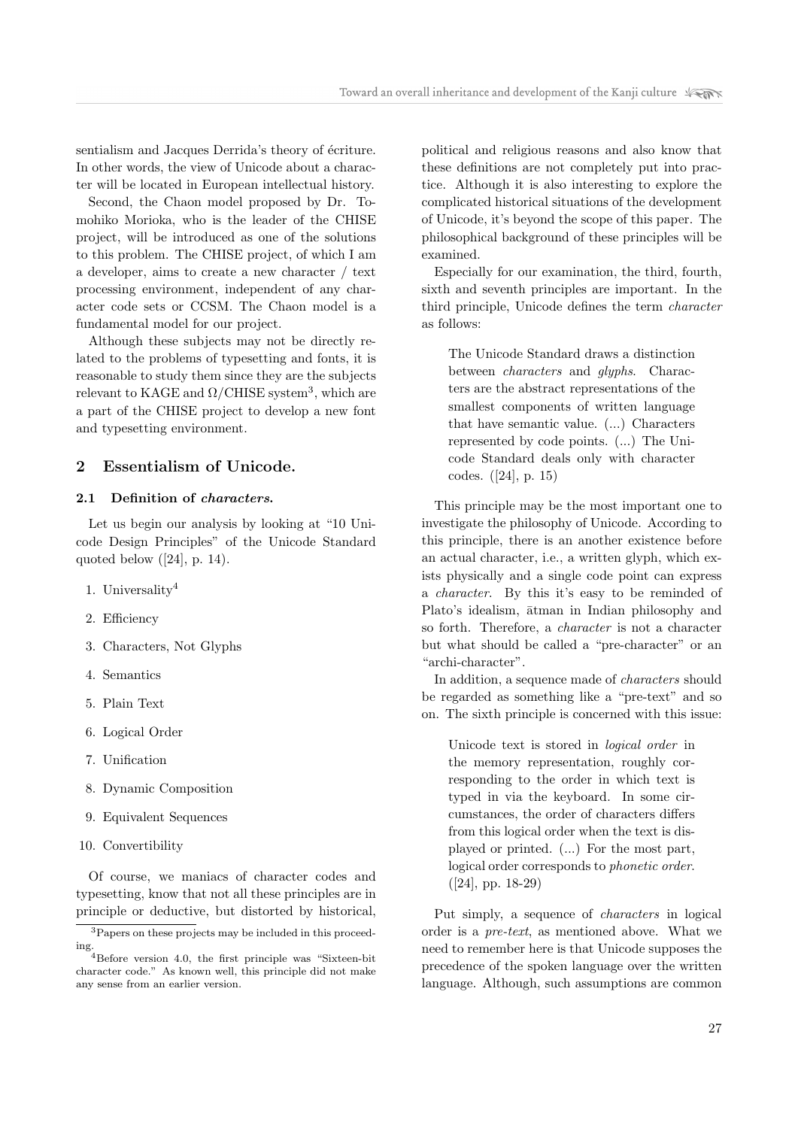sentialism and Jacques Derrida's theory of écriture. In other words, the view of Unicode about a character will be located in European intellectual history.

Second, the Chaon model proposed by Dr. Tomohiko Morioka, who is the leader of the CHISE project, will be introduced as one of the solutions to this problem. The CHISE project, of which I am a developer, aims to create a new character / text processing environment, independent of any character code sets or CCSM. The Chaon model is a fundamental model for our project.

Although these subjects may not be directly related to the problems of typesetting and fonts, it is reasonable to study them since they are the subjects relevant to KAGE and  $\Omega/\text{CHISE}$  system<sup>3</sup>, which are a part of the CHISE project to develop a new font and typesetting environment.

# 2 Essentialism of Unicode.

## 2.1 Definition of characters.

Let us begin our analysis by looking at "10 Unicode Design Principles" of the Unicode Standard quoted below  $([24], p. 14)$ .

- 1. Universality<sup>4</sup>
- 2. Efficiency
- 3. Characters, Not Glyphs
- 4. Semantics
- 5. Plain Text
- 6. Logical Order
- 7. Unification
- 8. Dynamic Composition
- 9. Equivalent Sequences
- 10. Convertibility

Of course, we maniacs of character codes and typesetting, know that not all these principles are in principle or deductive, but distorted by historical, political and religious reasons and also know that these definitions are not completely put into practice. Although it is also interesting to explore the complicated historical situations of the development of Unicode, it's beyond the scope of this paper. The philosophical background of these principles will be examined.

Especially for our examination, the third, fourth, sixth and seventh principles are important. In the third principle, Unicode defines the term character as follows:

The Unicode Standard draws a distinction between characters and glyphs. Characters are the abstract representations of the smallest components of written language that have semantic value. (...) Characters represented by code points. (...) The Unicode Standard deals only with character codes. ([24], p. 15)

This principle may be the most important one to investigate the philosophy of Unicode. According to this principle, there is an another existence before an actual character, i.e., a written glyph, which exists physically and a single code point can express a character. By this it's easy to be reminded of Plato's idealism,  $\bar{a}$ tman in Indian philosophy and so forth. Therefore, a character is not a character but what should be called a "pre-character" or an "archi-character".

In addition, a sequence made of characters should be regarded as something like a "pre-text" and so on. The sixth principle is concerned with this issue:

Unicode text is stored in logical order in the memory representation, roughly corresponding to the order in which text is typed in via the keyboard. In some circumstances, the order of characters differs from this logical order when the text is displayed or printed. (...) For the most part, logical order corresponds to phonetic order.  $([24], pp. 18-29)$ 

Put simply, a sequence of characters in logical order is a pre-text, as mentioned above. What we need to remember here is that Unicode supposes the precedence of the spoken language over the written language. Although, such assumptions are common

<sup>3</sup>Papers on these projects may be included in this proceeding.

<sup>&</sup>lt;sup>4</sup>Before version 4.0, the first principle was "Sixteen-bit" character code." As known well, this principle did not make any sense from an earlier version.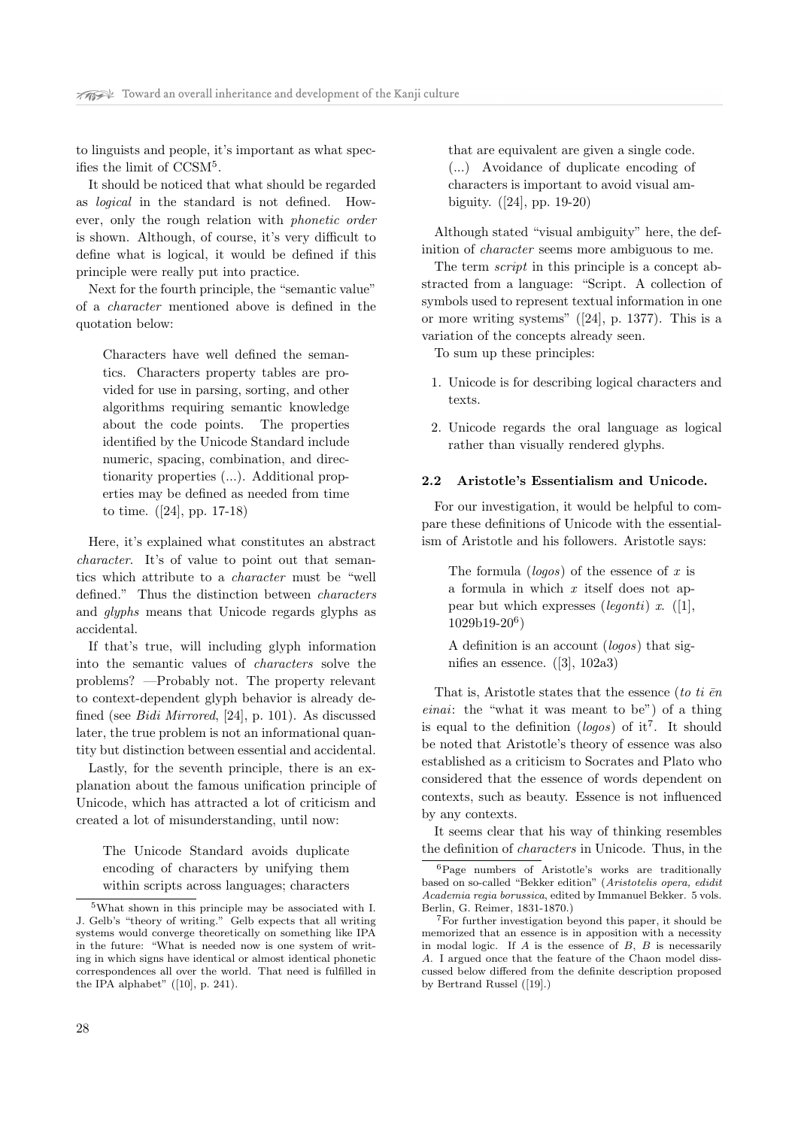to linguists and people, it's important as what specifies the limit of CCSM<sup>5</sup> .

It should be noticed that what should be regarded as logical in the standard is not defined. However, only the rough relation with phonetic order is shown. Although, of course, it's very difficult to define what is logical, it would be defined if this principle were really put into practice.

Next for the fourth principle, the "semantic value" of a character mentioned above is defined in the quotation below:

Characters have well defined the semantics. Characters property tables are provided for use in parsing, sorting, and other algorithms requiring semantic knowledge about the code points. The properties identified by the Unicode Standard include numeric, spacing, combination, and directionarity properties (...). Additional properties may be defined as needed from time to time. ([24], pp. 17-18)

Here, it's explained what constitutes an abstract character. It's of value to point out that semantics which attribute to a character must be "well defined." Thus the distinction between characters and glyphs means that Unicode regards glyphs as accidental.

If that's true, will including glyph information into the semantic values of characters solve the problems? —Probably not. The property relevant to context-dependent glyph behavior is already defined (see Bidi Mirrored, [24], p. 101). As discussed later, the true problem is not an informational quantity but distinction between essential and accidental.

Lastly, for the seventh principle, there is an explanation about the famous unification principle of Unicode, which has attracted a lot of criticism and created a lot of misunderstanding, until now:

The Unicode Standard avoids duplicate encoding of characters by unifying them within scripts across languages; characters

that are equivalent are given a single code. (...) Avoidance of duplicate encoding of characters is important to avoid visual ambiguity. ([24], pp. 19-20)

Although stated "visual ambiguity" here, the definition of character seems more ambiguous to me.

The term *script* in this principle is a concept abstracted from a language: "Script. A collection of symbols used to represent textual information in one or more writing systems" ([24], p. 1377). This is a variation of the concepts already seen.

To sum up these principles:

- 1. Unicode is for describing logical characters and texts.
- 2. Unicode regards the oral language as logical rather than visually rendered glyphs.

#### 2.2 Aristotle's Essentialism and Unicode.

For our investigation, it would be helpful to compare these definitions of Unicode with the essentialism of Aristotle and his followers. Aristotle says:

The formula  $(\text{logos})$  of the essence of x is a formula in which x itself does not appear but which expresses (*legonti*) x.  $([1],$ 1029b19-20<sup>6</sup> )

A definition is an account (logos) that signifies an essence. ([3], 102a3)

That is, Aristotle states that the essence (to ti  $\bar{e}n$ einai: the "what it was meant to be") of a thing is equal to the definition (logos) of it<sup>7</sup>. It should be noted that Aristotle's theory of essence was also established as a criticism to Socrates and Plato who considered that the essence of words dependent on contexts, such as beauty. Essence is not influenced by any contexts.

It seems clear that his way of thinking resembles the definition of characters in Unicode. Thus, in the

<sup>5</sup>What shown in this principle may be associated with I. J. Gelb's "theory of writing." Gelb expects that all writing systems would converge theoretically on something like IPA in the future: "What is needed now is one system of writing in which signs have identical or almost identical phonetic correspondences all over the world. That need is fulfilled in the IPA alphabet" ([10], p. 241).

<sup>6</sup>Page numbers of Aristotle's works are traditionally based on so-called "Bekker edition" (Aristotelis opera, edidit Academia regia borussica, edited by Immanuel Bekker. 5 vols. Berlin, G. Reimer, 1831-1870.)

<sup>7</sup>For further investigation beyond this paper, it should be memorized that an essence is in apposition with a necessity in modal logic. If  $A$  is the essence of  $B$ ,  $B$  is necessarily A. I argued once that the feature of the Chaon model disscussed below differed from the definite description proposed by Bertrand Russel ([19].)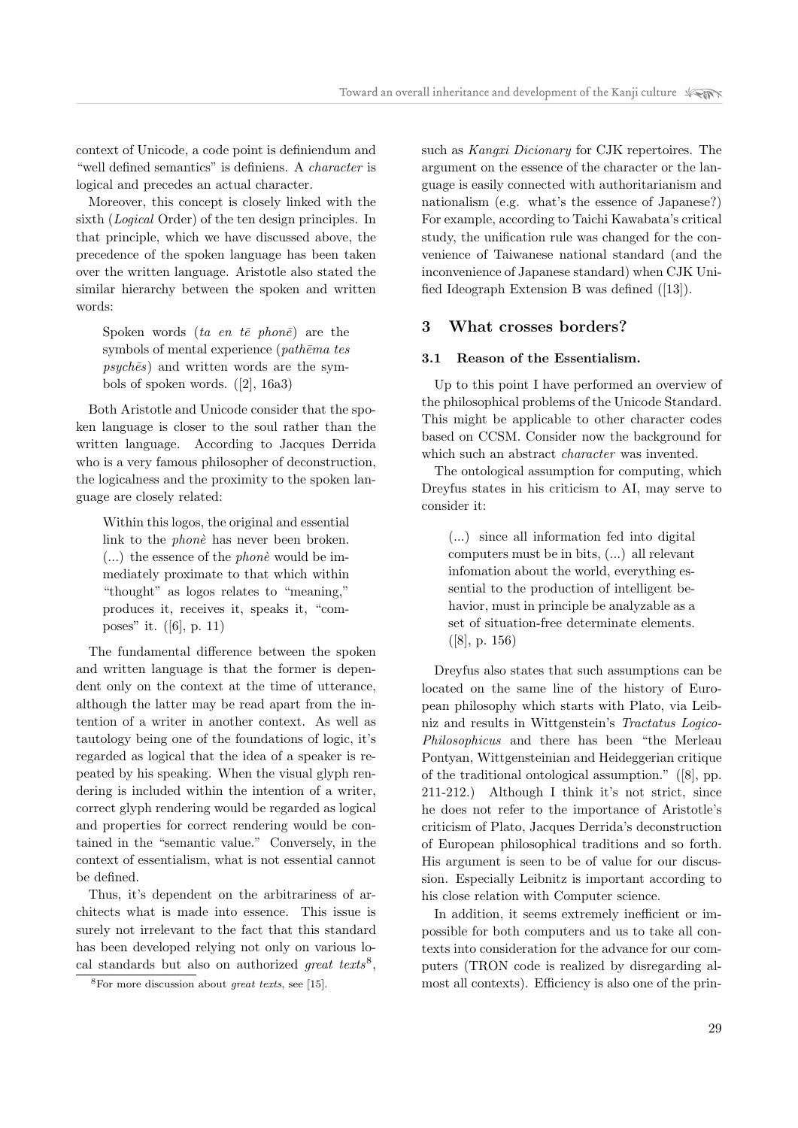context of Unicode, a code point is definiendum and "well defined semantics" is definiens. A character is logical and precedes an actual character.

Moreover, this concept is closely linked with the sixth (Logical Order) of the ten design principles. In that principle, which we have discussed above, the precedence of the spoken language has been taken over the written language. Aristotle also stated the similar hierarchy between the spoken and written words:

Spoken words (ta en te phone) are the symbols of mental experience ( $path\bar{e}ma$  tes  $psych\bar{e}s$ ) and written words are the symbols of spoken words. ([2], 16a3)

Both Aristotle and Unicode consider that the spoken language is closer to the soul rather than the written language. According to Jacques Derrida who is a very famous philosopher of deconstruction, the logicalness and the proximity to the spoken language are closely related:

Within this logos, the original and essential link to the *phone* has never been broken.  $(...)$  the essence of the *phone* would be immediately proximate to that which within "thought" as logos relates to "meaning," produces it, receives it, speaks it, "composes" it. ([6], p. 11)

The fundamental difference between the spoken and written language is that the former is dependent only on the context at the time of utterance, although the latter may be read apart from the intention of a writer in another context. As well as tautology being one of the foundations of logic, it's regarded as logical that the idea of a speaker is repeated by his speaking. When the visual glyph rendering is included within the intention of a writer, correct glyph rendering would be regarded as logical and properties for correct rendering would be contained in the "semantic value." Conversely, in the context of essentialism, what is not essential cannot be defined.

Thus, it's dependent on the arbitrariness of architects what is made into essence. This issue is surely not irrelevant to the fact that this standard has been developed relying not only on various local standards but also on authorized great texts<sup>8</sup>,

such as Kangxi Dicionary for CJK repertoires. The argument on the essence of the character or the language is easily connected with authoritarianism and nationalism (e.g. what's the essence of Japanese?) For example, according to Taichi Kawabata's critical study, the unification rule was changed for the convenience of Taiwanese national standard (and the inconvenience of Japanese standard) when CJK Unified Ideograph Extension B was defined ([13]).

## 3 What crosses borders?

## 3.1 Reason of the Essentialism.

Up to this point I have performed an overview of the philosophical problems of the Unicode Standard. This might be applicable to other character codes based on CCSM. Consider now the background for which such an abstract *character* was invented.

The ontological assumption for computing, which Dreyfus states in his criticism to AI, may serve to consider it:

(...) since all information fed into digital computers must be in bits, (...) all relevant infomation about the world, everything essential to the production of intelligent behavior, must in principle be analyzable as a set of situation-free determinate elements. ([8], p. 156)

Dreyfus also states that such assumptions can be located on the same line of the history of European philosophy which starts with Plato, via Leibniz and results in Wittgenstein's Tractatus Logico-Philosophicus and there has been "the Merleau Pontyan, Wittgensteinian and Heideggerian critique of the traditional ontological assumption." ([8], pp. 211-212.) Although I think it's not strict, since he does not refer to the importance of Aristotle's criticism of Plato, Jacques Derrida's deconstruction of European philosophical traditions and so forth. His argument is seen to be of value for our discussion. Especially Leibnitz is important according to his close relation with Computer science.

In addition, it seems extremely inefficient or impossible for both computers and us to take all contexts into consideration for the advance for our computers (TRON code is realized by disregarding almost all contexts). Efficiency is also one of the prin-

 $8$ For more discussion about *great texts*, see [15].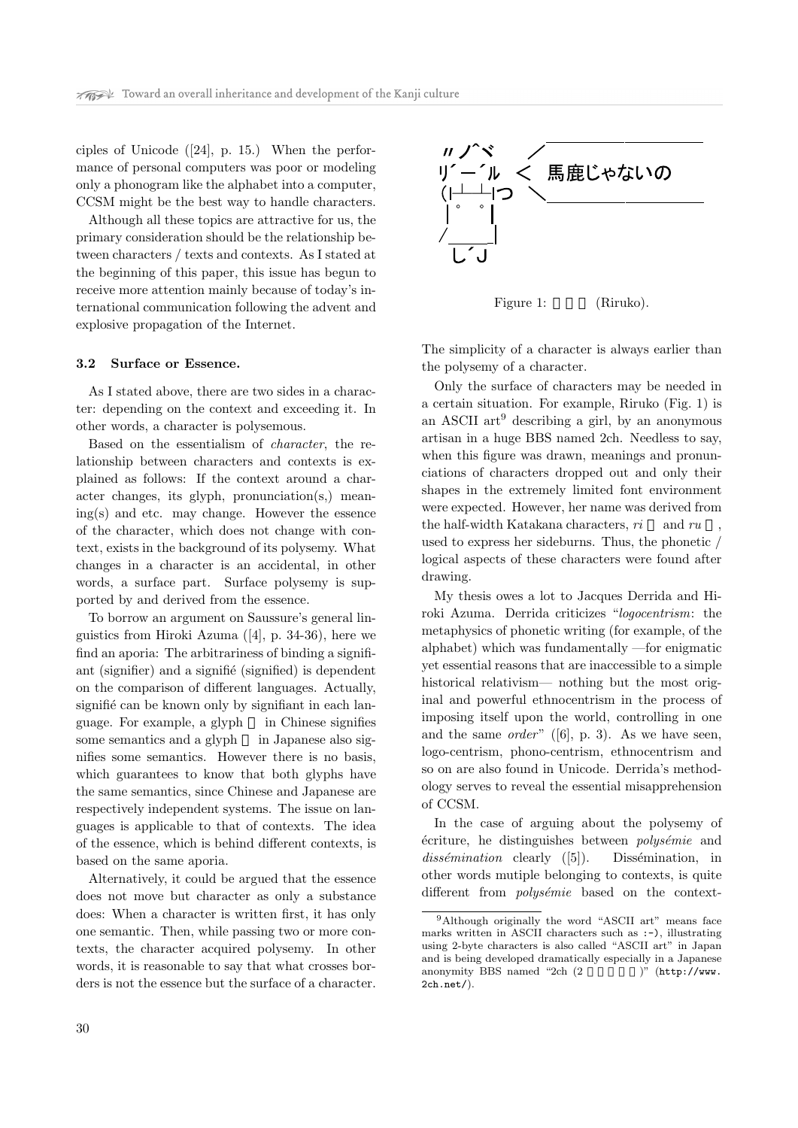ciples of Unicode ([24], p. 15.) When the performance of personal computers was poor or modeling only a phonogram like the alphabet into a computer, CCSM might be the best way to handle characters.

Although all these topics are attractive for us, the primary consideration should be the relationship between characters / texts and contexts. As I stated at the beginning of this paper, this issue has begun to receive more attention mainly because of today's international communication following the advent and explosive propagation of the Internet.

#### 3.2 Surface or Essence.

As I stated above, there are two sides in a character: depending on the context and exceeding it. In other words, a character is polysemous.

Based on the essentialism of character, the relationship between characters and contexts is explained as follows: If the context around a character changes, its glyph, pronunciation(s,) meaning(s) and etc. may change. However the essence of the character, which does not change with context, exists in the background of its polysemy. What changes in a character is an accidental, in other words, a surface part. Surface polysemy is supported by and derived from the essence.

To borrow an argument on Saussure's general linguistics from Hiroki Azuma ([4], p. 34-36), here we find an aporia: The arbitrariness of binding a signifiant (signifier) and a signified (signified) is dependent on the comparison of different languages. Actually, signifié can be known only by signifiant in each language. For example, a glyph in Chinese signifies some semantics and a glyph in Japanese also signifies some semantics. However there is no basis, which guarantees to know that both glyphs have the same semantics, since Chinese and Japanese are respectively independent systems. The issue on languages is applicable to that of contexts. The idea of the essence, which is behind different contexts, is based on the same aporia.

Alternatively, it could be argued that the essence does not move but character as only a substance does: When a character is written first, it has only one semantic. Then, while passing two or more contexts, the character acquired polysemy. In other words, it is reasonable to say that what crosses borders is not the essence but the surface of a character.



Figure 1: (Riruko).

The simplicity of a character is always earlier than the polysemy of a character.

Only the surface of characters may be needed in a certain situation. For example, Riruko (Fig. 1) is an ASCII  $art^9$  describing a girl, by an anonymous artisan in a huge BBS named 2ch. Needless to say, when this figure was drawn, meanings and pronunciations of characters dropped out and only their shapes in the extremely limited font environment were expected. However, her name was derived from the half-width Katakana characters,  $ri$  and  $ru$ used to express her sideburns. Thus, the phonetic / logical aspects of these characters were found after drawing.

My thesis owes a lot to Jacques Derrida and Hiroki Azuma. Derrida criticizes "logocentrism: the metaphysics of phonetic writing (for example, of the alphabet) which was fundamentally —for enigmatic yet essential reasons that are inaccessible to a simple historical relativism— nothing but the most original and powerful ethnocentrism in the process of imposing itself upon the world, controlling in one and the same *order*"  $([6], p. 3)$ . As we have seen, logo-centrism, phono-centrism, ethnocentrism and so on are also found in Unicode. Derrida's methodology serves to reveal the essential misapprehension of CCSM.

In the case of arguing about the polysemy of  $\acute{e}$ criture, he distinguishes between *polysémie* and  $dissémination$  clearly  $([5])$ . Dissémination, in other words mutiple belonging to contexts, is quite different from *polysémie* based on the context-

<sup>9</sup>Although originally the word "ASCII art" means face marks written in ASCII characters such as :-), illustrating using 2-byte characters is also called "ASCII art" in Japan and is being developed dramatically especially in a Japanese anonymity BBS named "2ch  $(2 \t\t\t\t\t)$ " (http://www. 2ch.net/).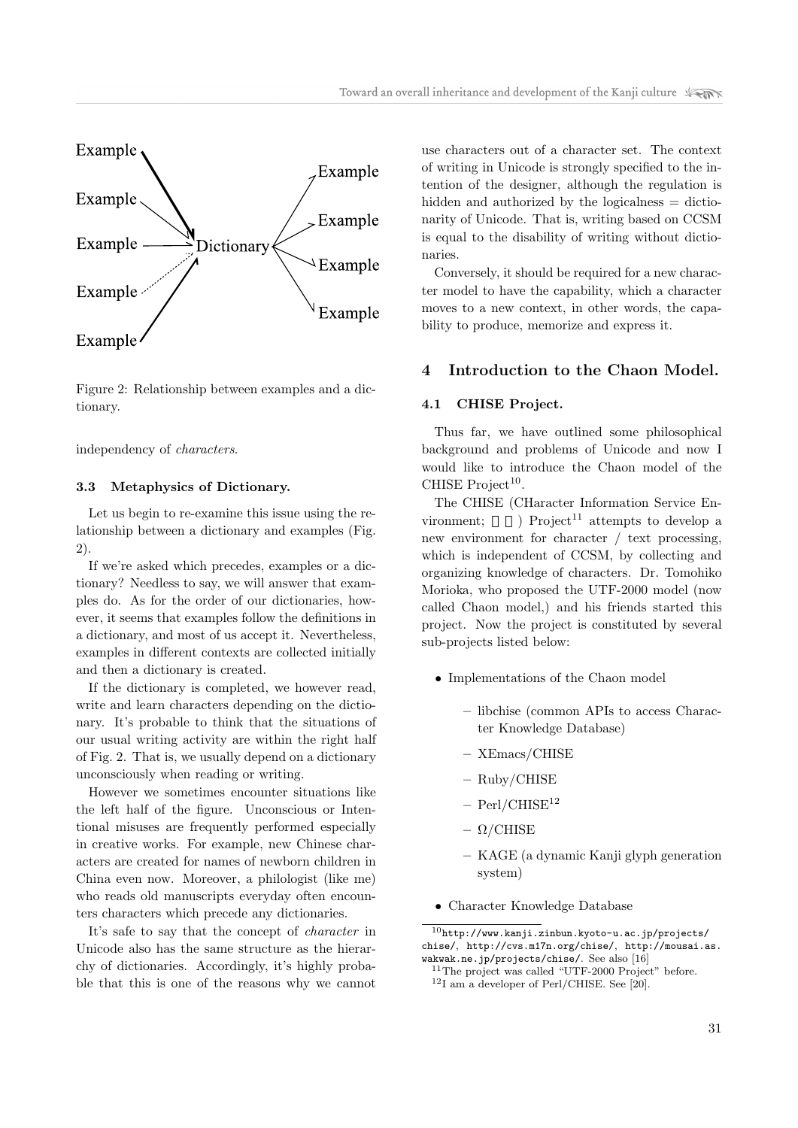

Figure 2: Relationship between examples and a dictionary.

independency of characters.

#### 3.3 Metaphysics of Dictionary.

Let us begin to re-examine this issue using the relationship between a dictionary and examples (Fig. 2).

If we're asked which precedes, examples or a dictionary? Needless to say, we will answer that examples do. As for the order of our dictionaries, however, it seems that examples follow the definitions in a dictionary, and most of us accept it. Nevertheless, examples in different contexts are collected initially and then a dictionary is created.

If the dictionary is completed, we however read, write and learn characters depending on the dictionary. It's probable to think that the situations of our usual writing activity are within the right half of Fig. 2. That is, we usually depend on a dictionary unconsciously when reading or writing.

However we sometimes encounter situations like the left half of the figure. Unconscious or Intentional misuses are frequently performed especially in creative works. For example, new Chinese characters are created for names of newborn children in China even now. Moreover, a philologist (like me) who reads old manuscripts everyday often encounters characters which precede any dictionaries.

It's safe to say that the concept of character in Unicode also has the same structure as the hierarchy of dictionaries. Accordingly, it's highly probable that this is one of the reasons why we cannot

use characters out of a character set. The context of writing in Unicode is strongly specified to the intention of the designer, although the regulation is hidden and authorized by the logicalness = dictionarity of Unicode. That is, writing based on CCSM is equal to the disability of writing without dictionaries.

Conversely, it should be required for a new character model to have the capability, which a character moves to a new context, in other words, the capability to produce, memorize and express it.

# 4 Introduction to the Chaon Model.

### 4.1 CHISE Project.

Thus far, we have outlined some philosophical background and problems of Unicode and now I would like to introduce the Chaon model of the CHISE  $Project<sup>10</sup>$ .

The CHISE (CHaracter Information Service Environment;  $\longrightarrow$  Project<sup>11</sup> attempts to develop a new environment for character / text processing, which is independent of CCSM, by collecting and organizing knowledge of characters. Dr. Tomohiko Morioka, who proposed the UTF-2000 model (now called Chaon model,) and his friends started this project. Now the project is constituted by several sub-projects listed below:

- Implementations of the Chaon model
	- libchise (common APIs to access Character Knowledge Database)
	- XEmacs/CHISE
	- Ruby/CHISE
	- $-$  Perl/CHISE<sup>12</sup>
	- $\Omega$ /CHISE
	- KAGE (a dynamic Kanji glyph generation system)
- Character Knowledge Database

 $^{10}\mathrm{http://www.kanji.zinhun.kyoto-u.ac.jp/projects/}$ chise/, http://cvs.m17n.org/chise/, http://mousai.as. wakwak.ne.jp/projects/chise/. See also [16]

<sup>11</sup>The project was called "UTF-2000 Project" before.  $12$ I am a developer of Perl/CHISE. See [20].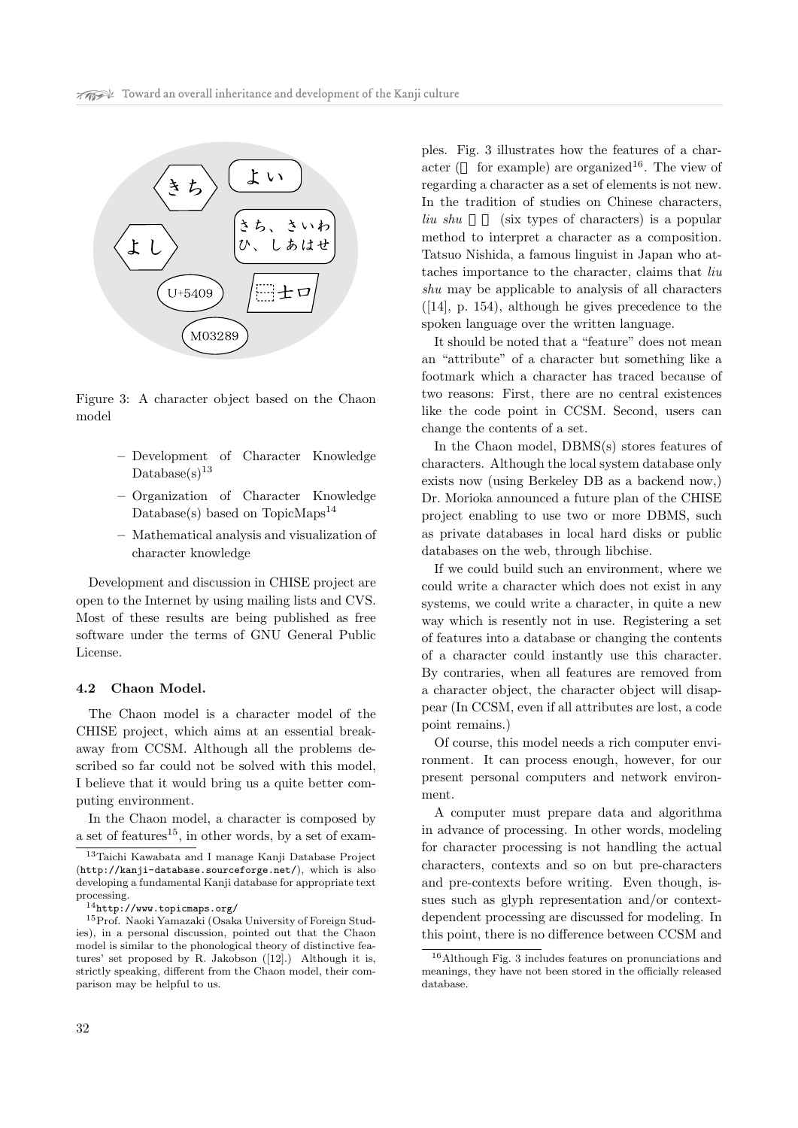

Figure 3: A character object based on the Chaon model

- Development of Character Knowledge  $Database(s)^{13}$
- Organization of Character Knowledge Database(s) based on TopicMaps<sup>14</sup>
- Mathematical analysis and visualization of character knowledge

Development and discussion in CHISE project are open to the Internet by using mailing lists and CVS. Most of these results are being published as free software under the terms of GNU General Public License.

#### 4.2 Chaon Model.

The Chaon model is a character model of the CHISE project, which aims at an essential breakaway from CCSM. Although all the problems described so far could not be solved with this model, I believe that it would bring us a quite better computing environment.

In the Chaon model, a character is composed by a set of features<sup>15</sup>, in other words, by a set of examples. Fig. 3 illustrates how the features of a character ( for example) are organized<sup>16</sup>. The view of regarding a character as a set of elements is not new. In the tradition of studies on Chinese characters,  $\lim_{h \to 0} \sin \left( \frac{1}{h} \right)$  (six types of characters) is a popular method to interpret a character as a composition. Tatsuo Nishida, a famous linguist in Japan who attaches importance to the character, claims that liu shu may be applicable to analysis of all characters ([14], p. 154), although he gives precedence to the spoken language over the written language.

It should be noted that a "feature" does not mean an "attribute" of a character but something like a footmark which a character has traced because of two reasons: First, there are no central existences like the code point in CCSM. Second, users can change the contents of a set.

In the Chaon model, DBMS(s) stores features of characters. Although the local system database only exists now (using Berkeley DB as a backend now,) Dr. Morioka announced a future plan of the CHISE project enabling to use two or more DBMS, such as private databases in local hard disks or public databases on the web, through libchise.

If we could build such an environment, where we could write a character which does not exist in any systems, we could write a character, in quite a new way which is resently not in use. Registering a set of features into a database or changing the contents of a character could instantly use this character. By contraries, when all features are removed from a character object, the character object will disappear (In CCSM, even if all attributes are lost, a code point remains.)

Of course, this model needs a rich computer environment. It can process enough, however, for our present personal computers and network environment.

A computer must prepare data and algorithma in advance of processing. In other words, modeling for character processing is not handling the actual characters, contexts and so on but pre-characters and pre-contexts before writing. Even though, issues such as glyph representation and/or contextdependent processing are discussed for modeling. In this point, there is no difference between CCSM and

<sup>13</sup>Taichi Kawabata and I manage Kanji Database Project (http://kanji-database.sourceforge.net/), which is also developing a fundamental Kanji database for appropriate text processing.

<sup>14</sup>http://www.topicmaps.org/

<sup>15</sup>Prof. Naoki Yamazaki (Osaka University of Foreign Studies), in a personal discussion, pointed out that the Chaon model is similar to the phonological theory of distinctive features' set proposed by R. Jakobson ([12].) Although it is, strictly speaking, different from the Chaon model, their comparison may be helpful to us.

<sup>16</sup>Although Fig. 3 includes features on pronunciations and meanings, they have not been stored in the officially released database.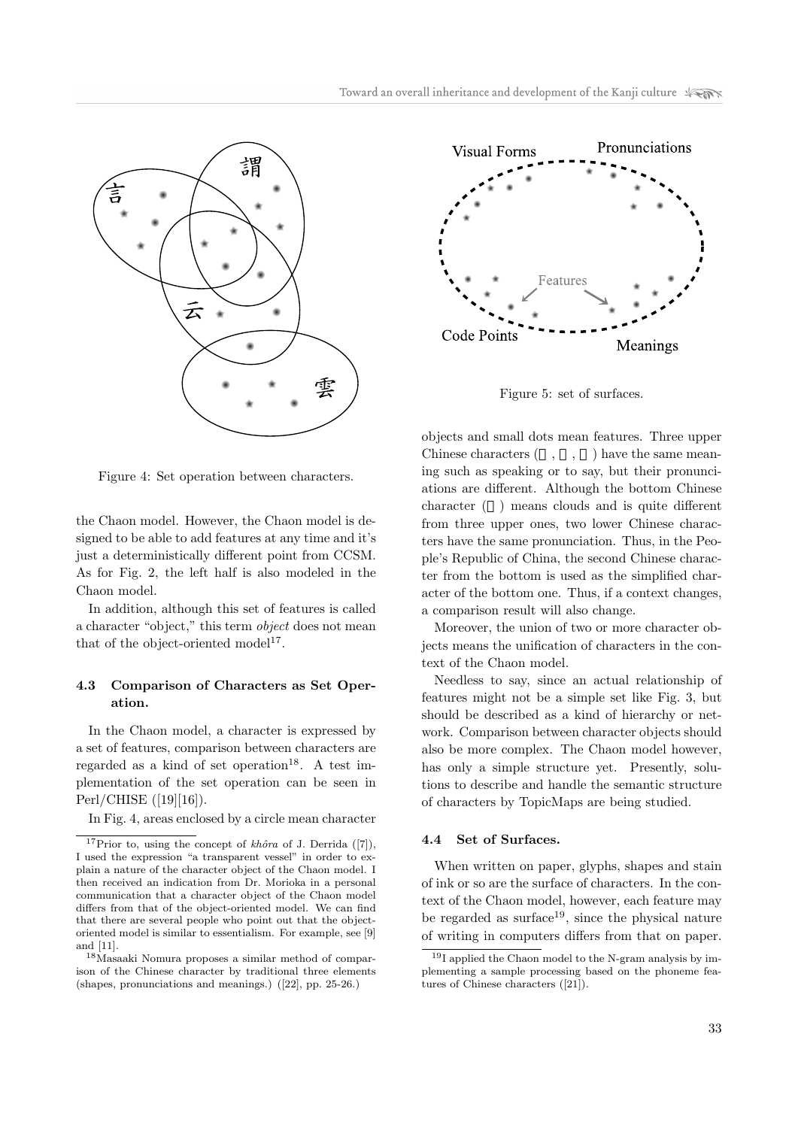

Figure 4: Set operation between characters.

the Chaon model. However, the Chaon model is designed to be able to add features at any time and it's just a deterministically different point from CCSM. As for Fig. 2, the left half is also modeled in the Chaon model.

In addition, although this set of features is called a character "object," this term object does not mean that of the object-oriented model<sup>17</sup>.

## 4.3 Comparison of Characters as Set Operation.

In the Chaon model, a character is expressed by a set of features, comparison between characters are regarded as a kind of set operation<sup>18</sup>. A test implementation of the set operation can be seen in Perl/CHISE ([19][16]).

In Fig. 4, areas enclosed by a circle mean character



Figure 5: set of surfaces.

objects and small dots mean features. Three upper Chinese characters  $( , , , )$  have the same meaning such as speaking or to say, but their pronunciations are different. Although the bottom Chinese character ( ) means clouds and is quite different from three upper ones, two lower Chinese characters have the same pronunciation. Thus, in the People's Republic of China, the second Chinese character from the bottom is used as the simplified character of the bottom one. Thus, if a context changes, a comparison result will also change.

Moreover, the union of two or more character objects means the unification of characters in the context of the Chaon model.

Needless to say, since an actual relationship of features might not be a simple set like Fig. 3, but should be described as a kind of hierarchy or network. Comparison between character objects should also be more complex. The Chaon model however, has only a simple structure yet. Presently, solutions to describe and handle the semantic structure of characters by TopicMaps are being studied.

#### 4.4 Set of Surfaces.

When written on paper, glyphs, shapes and stain of ink or so are the surface of characters. In the context of the Chaon model, however, each feature may be regarded as surface<sup>19</sup>, since the physical nature of writing in computers differs from that on paper.

<sup>&</sup>lt;sup>17</sup>Prior to, using the concept of *khôra* of J. Derrida ([7]), I used the expression "a transparent vessel" in order to explain a nature of the character object of the Chaon model. I then received an indication from Dr. Morioka in a personal communication that a character object of the Chaon model differs from that of the object-oriented model. We can find that there are several people who point out that the objectoriented model is similar to essentialism. For example, see [9] and [11].

<sup>18</sup>Masaaki Nomura proposes a similar method of comparison of the Chinese character by traditional three elements (shapes, pronunciations and meanings.) ([22], pp. 25-26.)

<sup>19</sup>I applied the Chaon model to the N-gram analysis by implementing a sample processing based on the phoneme features of Chinese characters ([21]).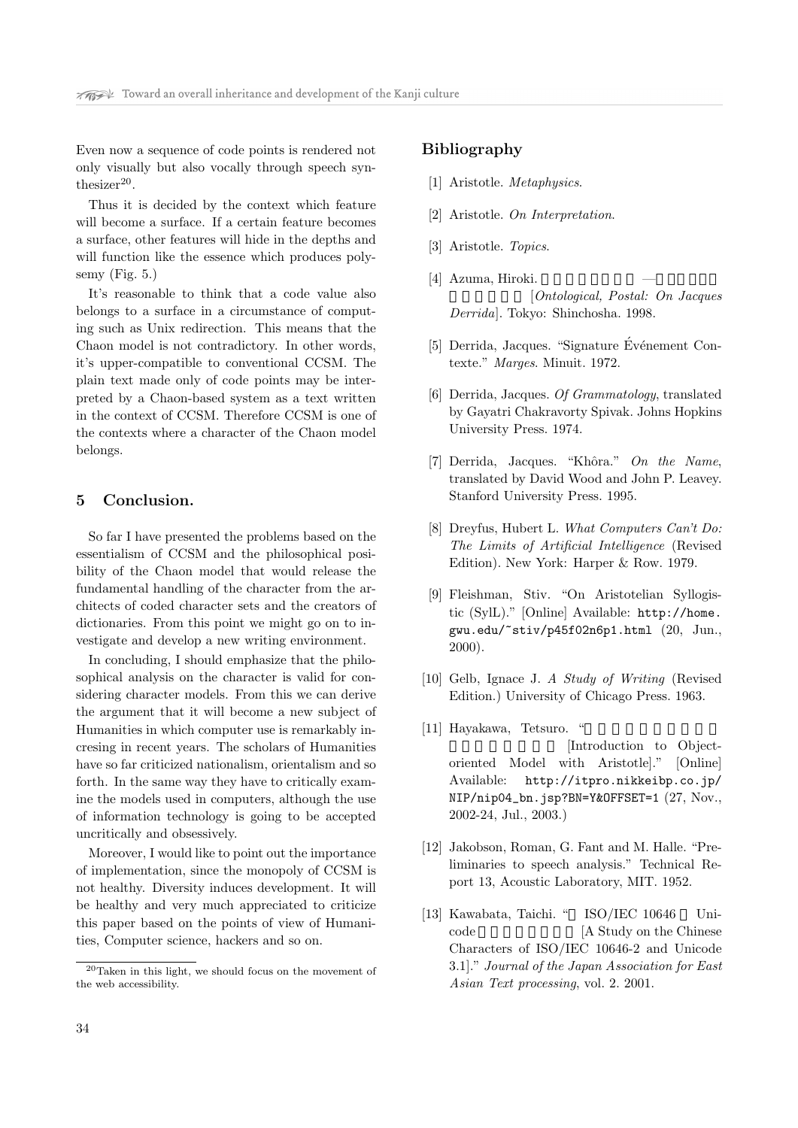Even now a sequence of code points is rendered not only visually but also vocally through speech synthesizer $20$ .

Thus it is decided by the context which feature will become a surface. If a certain feature becomes a surface, other features will hide in the depths and will function like the essence which produces polysemy (Fig. 5.)

It's reasonable to think that a code value also belongs to a surface in a circumstance of computing such as Unix redirection. This means that the Chaon model is not contradictory. In other words, it's upper-compatible to conventional CCSM. The plain text made only of code points may be interpreted by a Chaon-based system as a text written in the context of CCSM. Therefore CCSM is one of the contexts where a character of the Chaon model belongs.

## 5 Conclusion.

So far I have presented the problems based on the essentialism of CCSM and the philosophical posibility of the Chaon model that would release the fundamental handling of the character from the architects of coded character sets and the creators of dictionaries. From this point we might go on to investigate and develop a new writing environment.

In concluding, I should emphasize that the philosophical analysis on the character is valid for considering character models. From this we can derive the argument that it will become a new subject of Humanities in which computer use is remarkably incresing in recent years. The scholars of Humanities have so far criticized nationalism, orientalism and so forth. In the same way they have to critically examine the models used in computers, although the use of information technology is going to be accepted uncritically and obsessively.

Moreover, I would like to point out the importance of implementation, since the monopoly of CCSM is not healthy. Diversity induces development. It will be healthy and very much appreciated to criticize this paper based on the points of view of Humanities, Computer science, hackers and so on.

## Bibliography

- [1] Aristotle. Metaphysics.
- [2] Aristotle. On Interpretation.
- [3] Aristotle. Topics.
- [4] Azuma, Hiroki. [Ontological, Postal: On Jacques] Derrida]. Tokyo: Shinchosha. 1998.
- [5] Derrida, Jacques. "Signature Événement Contexte." Marges. Minuit. 1972.
- [6] Derrida, Jacques. Of Grammatology, translated by Gayatri Chakravorty Spivak. Johns Hopkins University Press. 1974.
- [7] Derrida, Jacques. "Khôra." On the Name, translated by David Wood and John P. Leavey. Stanford University Press. 1995.
- [8] Dreyfus, Hubert L. What Computers Can't Do: The Limits of Artificial Intelligence (Revised Edition). New York: Harper & Row. 1979.
- [9] Fleishman, Stiv. "On Aristotelian Syllogistic (SylL)." [Online] Available: http://home. gwu.edu/~stiv/p45f02n6p1.html (20, Jun., 2000).
- [10] Gelb, Ignace J. A Study of Writing (Revised Edition.) University of Chicago Press. 1963.
- $[11]$  Hayakawa, Tetsuro. [Introduction to Objectoriented Model with Aristotle]." [Online] Available: http://itpro.nikkeibp.co.jp/ NIP/nip04\_bn.jsp?BN=Y&OFFSET=1 (27, Nov., 2002-24, Jul., 2003.)
- [12] Jakobson, Roman, G. Fant and M. Halle. "Preliminaries to speech analysis." Technical Report 13, Acoustic Laboratory, MIT. 1952.
- [13] Kawabata, Taichi. " ISO/IEC 10646 Unicode [A Study on the Chinese] Characters of ISO/IEC 10646-2 and Unicode 3.1]." Journal of the Japan Association for East Asian Text processing, vol. 2. 2001.

<sup>20</sup>Taken in this light, we should focus on the movement of the web accessibility.